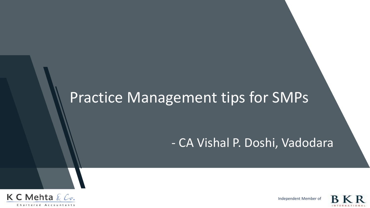# Practice Management tips for SMPs

# - CA Vishal P. Doshi, Vadodara



Independent Member of

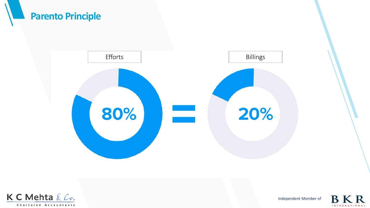



Independent Member of

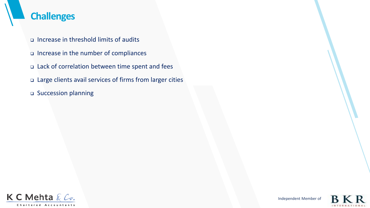### **Challenges**

- ❑ Increase in threshold limits of audits
- ❑ Increase in the number of compliances
- ❑ Lack of correlation between time spent and fees
- ❑ Large clients avail services of firms from larger cities
- ❑ Succession planning



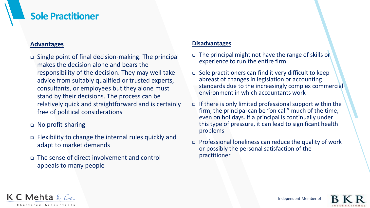#### **Sole Practitioner**

#### **Advantages**

- ❑ Single point of final decision-making. The principal makes the decision alone and bears the responsibility of the decision. They may well take advice from suitably qualified or trusted experts, consultants, or employees but they alone must stand by their decisions. The process can be relatively quick and straightforward and is certainly free of political considerations
- ❑ No profit-sharing
- ❑ Flexibility to change the internal rules quickly and adapt to market demands
- ❑ The sense of direct involvement and control appeals to many people

#### **Disadvantages**

- ❑ The principal might not have the range of skills or experience to run the entire firm
- ❑ Sole practitioners can find it very difficult to keep abreast of changes in legislation or accounting standards due to the increasingly complex commercial environment in which accountants work
- ❑ If there is only limited professional support within the firm, the principal can be "on call" much of the time, even on holidays. If a principal is continually under this type of pressure, it can lead to significant health problems
- ❑ Professional loneliness can reduce the quality of work or possibly the personal satisfaction of the practitioner

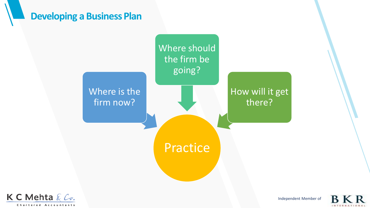#### **Developing a Business Plan**





Independent Member of

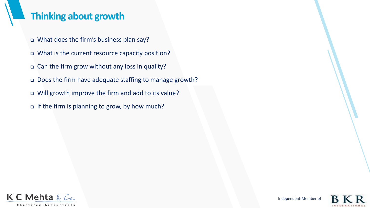### **Thinking about growth**

- ❑ What does the firm's business plan say?
- ❑ What is the current resource capacity position?
- ❑ Can the firm grow without any loss in quality?
- ❑ Does the firm have adequate staffing to manage growth?
- ❑ Will growth improve the firm and add to its value?
- ❑ If the firm is planning to grow, by how much?



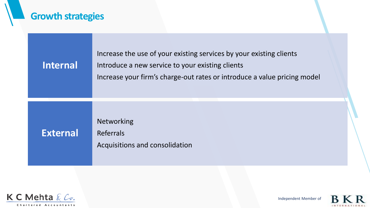# **Growth strategies**

| <b>Internal</b> | Increase the use of your existing services by your existing clients<br>Introduce a new service to your existing clients<br>Increase your firm's charge-out rates or introduce a value pricing model |
|-----------------|-----------------------------------------------------------------------------------------------------------------------------------------------------------------------------------------------------|
| <b>External</b> | <b>Networking</b><br><b>Referrals</b><br>Acquisitions and consolidation                                                                                                                             |



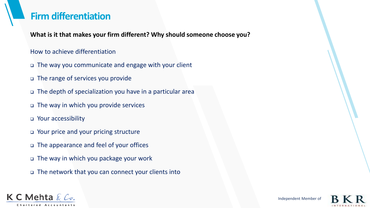### **Firm differentiation**

**What is it that makes your firm different? Why should someone choose you?**

#### How to achieve differentiation

- ❑ The way you communicate and engage with your client
- ❑ The range of services you provide
- ❑ The depth of specialization you have in a particular area
- ❑ The way in which you provide services
- ❑ Your accessibility
- ❑ Your price and your pricing structure
- ❑ The appearance and feel of your offices
- ❑ The way in which you package your work
- ❑ The network that you can connect your clients into



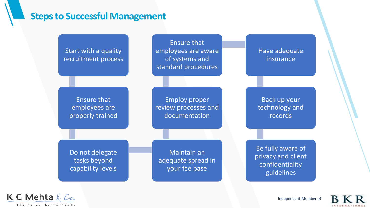#### **Steps to Successful Management**





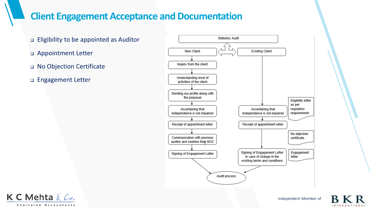### **Client Engagement Acceptance and Documentation**





Independent Member of

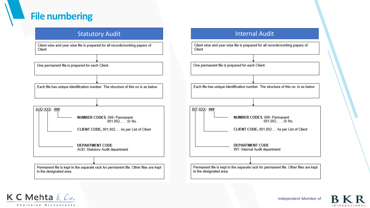### **File numbering**

Client wise and year wise file is prepared for all records/working papers of Client



Each file has unique identification number The structure of this no is as below

#### AUD-XXX-### NUMBER CODES, 000- Permanent 001,002,..... Sr No. CLIENT CODE, 001,002.... As per List of Client

**DEPARTMENT CODE** AUD- Statutory Audit department

Permanent file is kept in the separate rack for permanent file. Other files are kept in the designated area.





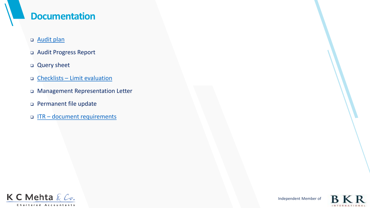#### **Documentation**

- ❑ [Audit plan](ISO/Audit & Assurance/Formats/F-AUD-04-Audit Plan.doc)
- ❑ Audit Progress Report
- ❑ Query sheet
- ❑ Checklists [Limit evaluation](Limit Evaluation_20.02.2020 non company.xlsx)
- ❑ Management Representation Letter
- ❑ Permanent file update
- ❑ ITR [document requirements](ITR documents checklist.pdf)



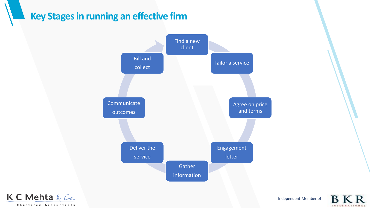### **Key Stages in running an effective firm**





Independent Member of

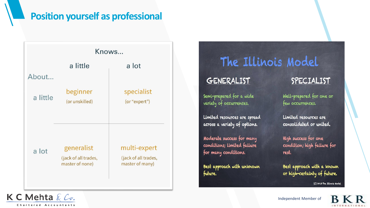### **Position yourself as professional**



# The Illinois Model

#### GENERALIST

Semi-prepared for a wide variety of occurrences.

Limited resources are spread across a variety of options.

Moderate success for many conditions; limited failure for many conditions.

Best approach with unknown future.

#### SPECIALIST

Well-prepared for one or few occurrences.

Limited resources are consolidated or united.

High success for one condition; high failure for rest.

Best approach with a known or high-certainty of future. (C) 2013 The Illinois Model

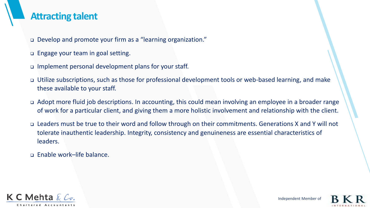#### **Attracting talent**

- ❑ Develop and promote your firm as a "learning organization."
- ❑ Engage your team in goal setting.
- ❑ Implement personal development plans for your staff.
- ❑ Utilize subscriptions, such as those for professional development tools or web-based learning, and make these available to your staff.
- ❑ Adopt more fluid job descriptions. In accounting, this could mean involving an employee in a broader range of work for a particular client, and giving them a more holistic involvement and relationship with the client.
- ❑ Leaders must be true to their word and follow through on their commitments. Generations X and Y will not tolerate inauthentic leadership. Integrity, consistency and genuineness are essential characteristics of leaders.
- ❑ Enable work–life balance.



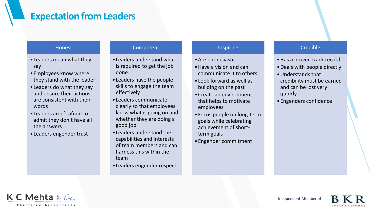#### **Expectation from Leaders**

#### Honest

- •Leaders mean what they say
- •Employees know where they stand with the leader
- •Leaders do what they say and ensure their actions are consistent with their words
- •Leaders aren't afraid to admit they don't have all the answers
- •Leaders engender trust

#### Competent

- •Leaders understand what is required to get the job done
- •Leaders have the people skills to engage the team effectively
- •Leaders communicate clearly so that employees know what is going on and whether they are doing a good job
- •Leaders understand the capabilities and interests of team members and can harness this within the team
- •Leaders engender respect

#### Inspiring

- •Are enthusiastic
- •Have a vision and can communicate it to others
- •Look forward as well as building on the past
- •Create an environment that helps to motivate employees
- •Focus people on long-term goals while celebrating achievement of shortterm goals
- •Engender commitment

#### Credible

- •Has a proven track record
- •Deals with people directly
- •Understands that credibility must be earned and can be lost very quickly
- •Engenders confidence

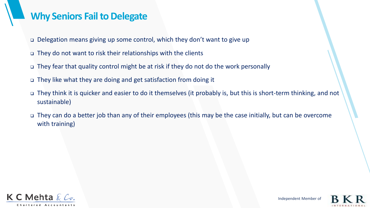#### **Why Seniors Fail to Delegate**

- ❑ Delegation means giving up some control, which they don't want to give up
- ❑ They do not want to risk their relationships with the clients
- ❑ They fear that quality control might be at risk if they do not do the work personally
- ❑ They like what they are doing and get satisfaction from doing it
- ❑ They think it is quicker and easier to do it themselves (it probably is, but this is short-term thinking, and not sustainable)
- ❑ They can do a better job than any of their employees (this may be the case initially, but can be overcome with training)

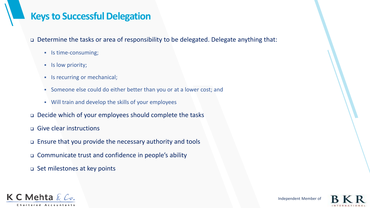### **Keys to Successful Delegation**

❑ Determine the tasks or area of responsibility to be delegated. Delegate anything that:

- Is time-consuming;
- **·** Is low priority;
- **•** Is recurring or mechanical;
- Someone else could do either better than you or at a lower cost; and
- Will train and develop the skills of your employees
- ❑ Decide which of your employees should complete the tasks
- ❑ Give clear instructions
- ❑ Ensure that you provide the necessary authority and tools
- ❑ Communicate trust and confidence in people's ability
- ❑ Set milestones at key points



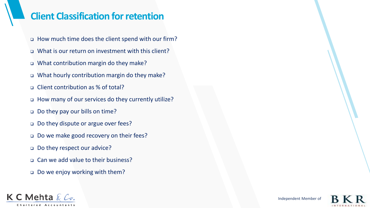### **Client Classification for retention**

- ❑ How much time does the client spend with our firm?
- ❑ What is our return on investment with this client?
- ❑ What contribution margin do they make?
- ❑ What hourly contribution margin do they make?
- ❑ Client contribution as % of total?
- ❑ How many of our services do they currently utilize?
- ❑ Do they pay our bills on time?
- ❑ Do they dispute or argue over fees?
- ❑ Do we make good recovery on their fees?
- ❑ Do they respect our advice?
- ❑ Can we add value to their business?
- ❑ Do we enjoy working with them?



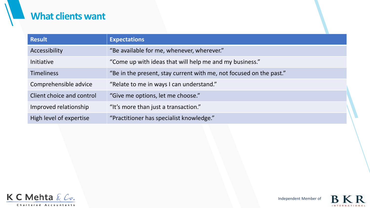### **What clients want**

| <b>Result</b>             | <b>Expectations</b>                                                 |
|---------------------------|---------------------------------------------------------------------|
| Accessibility             | "Be available for me, whenever, wherever."                          |
| Initiative                | "Come up with ideas that will help me and my business."             |
| <b>Timeliness</b>         | "Be in the present, stay current with me, not focused on the past." |
| Comprehensible advice     | "Relate to me in ways I can understand."                            |
| Client choice and control | "Give me options, let me choose."                                   |
| Improved relationship     | "It's more than just a transaction."                                |
| High level of expertise   | "Practitioner has specialist knowledge."                            |





**INTERNATIONAL**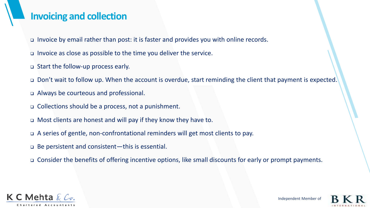#### **Invoicing and collection**

- ❑ Invoice by email rather than post: it is faster and provides you with online records.
- ❑ Invoice as close as possible to the time you deliver the service.
- ❑ Start the follow-up process early.
- ❑ Don't wait to follow up. When the account is overdue, start reminding the client that payment is expected.
- ❑ Always be courteous and professional.
- ❑ Collections should be a process, not a punishment.
- ❑ Most clients are honest and will pay if they know they have to.
- ❑ A series of gentle, non-confrontational reminders will get most clients to pay.
- ❑ Be persistent and consistent—this is essential.
- ❑ Consider the benefits of offering incentive options, like small discounts for early or prompt payments.

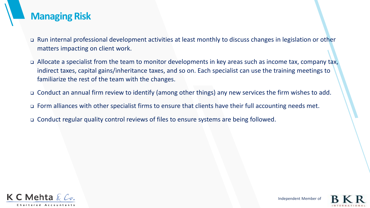#### **Managing Risk**

- ❑ Run internal professional development activities at least monthly to discuss changes in legislation or other matters impacting on client work.
- ❑ Allocate a specialist from the team to monitor developments in key areas such as income tax, company tax, indirect taxes, capital gains/inheritance taxes, and so on. Each specialist can use the training meetings to familiarize the rest of the team with the changes.
- ❑ Conduct an annual firm review to identify (among other things) any new services the firm wishes to add.
- ❑ Form alliances with other specialist firms to ensure that clients have their full accounting needs met.
- ❑ Conduct regular quality control reviews of files to ensure systems are being followed.

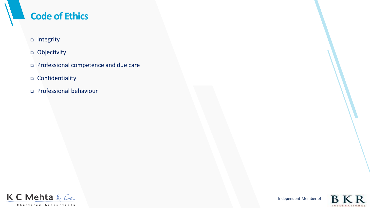## **Code of Ethics**

- ❑ Integrity
- ❑ Objectivity
- ❑ Professional competence and due care
- ❑ Confidentiality
- ❑ Professional behaviour



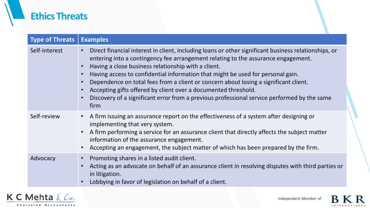### **Ethics Threats**

| <b>Type of Threats</b> | <b>Examples</b>                                                                                                                                                                                                                                                                                                                                                                                                                                                                                                                                                                                      |
|------------------------|------------------------------------------------------------------------------------------------------------------------------------------------------------------------------------------------------------------------------------------------------------------------------------------------------------------------------------------------------------------------------------------------------------------------------------------------------------------------------------------------------------------------------------------------------------------------------------------------------|
| Self-interest          | Direct financial interest in client, including loans or other significant business relationships, or<br>entering into a contingency fee arrangement relating to the assurance engagement.<br>Having a close business relationship with a client.<br>Having access to confidential information that might be used for personal gain.<br>Dependence on total fees from a client or concern about losing a significant client.<br>Accepting gifts offered by client over a documented threshold.<br>Discovery of a significant error from a previous professional service performed by the same<br>firm |
| Self-review            | A firm issuing an assurance report on the effectiveness of a system after designing or<br>$\bullet$<br>implementing that very system.<br>A firm performing a service for an assurance client that directly affects the subject matter<br>information of the assurance engagement.<br>Accepting an engagement, the subject matter of which has been prepared by the firm.                                                                                                                                                                                                                             |
| Advocacy               | Promoting shares in a listed audit client.<br>Acting as an advocate on behalf of an assurance client in resolving disputes with third parties or<br>in litigation.<br>Lobbying in favor of legislation on behalf of a client.                                                                                                                                                                                                                                                                                                                                                                        |



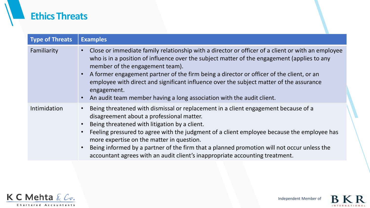### **Ethics Threats**

| <b>Type of Threats</b> | <b>Examples</b>                                                                                                                                                                                                                                                                                                                                                                                                                                                                                                                 |
|------------------------|---------------------------------------------------------------------------------------------------------------------------------------------------------------------------------------------------------------------------------------------------------------------------------------------------------------------------------------------------------------------------------------------------------------------------------------------------------------------------------------------------------------------------------|
| Familiarity            | Close or immediate family relationship with a director or officer of a client or with an employee<br>$\bullet$<br>who is in a position of influence over the subject matter of the engagement (applies to any<br>member of the engagement team).<br>A former engagement partner of the firm being a director or officer of the client, or an<br>employee with direct and significant influence over the subject matter of the assurance<br>engagement.<br>An audit team member having a long association with the audit client. |
| Intimidation           | Being threatened with dismissal or replacement in a client engagement because of a<br>disagreement about a professional matter.<br>Being threatened with litigation by a client.<br>Feeling pressured to agree with the judgment of a client employee because the employee has<br>more expertise on the matter in question.<br>Being informed by a partner of the firm that a planned promotion will not occur unless the<br>accountant agrees with an audit client's inappropriate accounting treatment.                       |



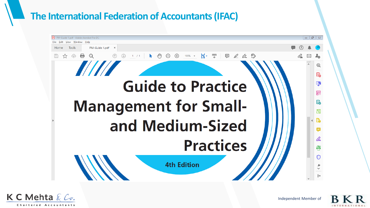### **The International Federation of Accountants (IFAC)**